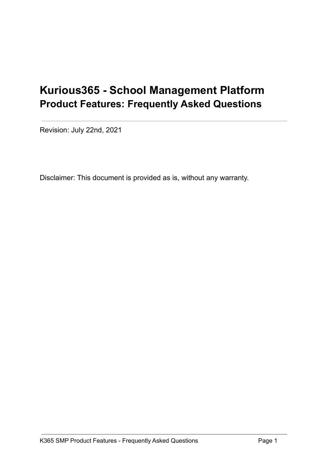# **Kurious365 - School Management Platform Product Features: Frequently Asked Questions**

Revision: July 22nd, 2021

Disclaimer: This document is provided as is, without any warranty.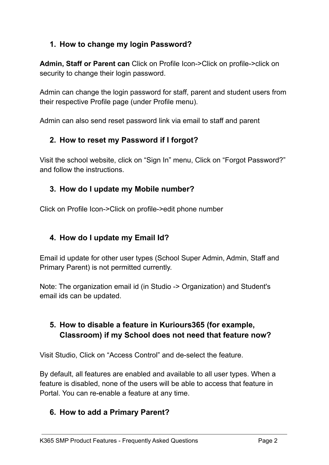# **1. How to change my login Password?**

**Admin, Staff or Parent can** Click on Profile Icon->Click on profile->click on security to change their login password.

Admin can change the login password for staff, parent and student users from their respective Profile page (under Profile menu).

Admin can also send reset password link via email to staff and parent

# **2. How to reset my Password if I forgot?**

Visit the school website, click on "Sign In" menu, Click on "Forgot Password?" and follow the instructions.

# **3. How do I update my Mobile number?**

Click on Profile Icon->Click on profile->edit phone number

## **4. How do I update my Email Id?**

Email id update for other user types (School Super Admin, Admin, Staff and Primary Parent) is not permitted currently.

Note: The organization email id (in Studio -> Organization) and Student's email ids can be updated.

# **5. How to disable a feature in Kuriours365 (for example, Classroom) if my School does not need that feature now?**

Visit Studio, Click on "Access Control" and de-select the feature.

By default, all features are enabled and available to all user types. When a feature is disabled, none of the users will be able to access that feature in Portal. You can re-enable a feature at any time.

## **6. How to add a Primary Parent?**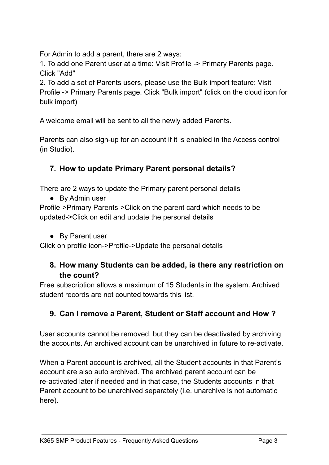For Admin to add a parent, there are 2 ways:

1. To add one Parent user at a time: Visit Profile -> Primary Parents page. Click "Add"

2. To add a set of Parents users, please use the Bulk import feature: Visit Profile -> Primary Parents page. Click "Bulk import" (click on the cloud icon for bulk import)

A welcome email will be sent to all the newly added Parents.

Parents can also sign-up for an account if it is enabled in the Access control (in Studio).

# **7. How to update Primary Parent personal details?**

There are 2 ways to update the Primary parent personal details

**●** By Admin user

Profile->Primary Parents->Click on the parent card which needs to be updated->Click on edit and update the personal details

**●** By Parent user

Click on profile icon->Profile->Update the personal details

## **8. How many Students can be added, is there any restriction on the count?**

Free subscription allows a maximum of 15 Students in the system. Archived student records are not counted towards this list.

# **9. Can I remove a Parent, Student or Staff account and How ?**

User accounts cannot be removed, but they can be deactivated by archiving the accounts. An archived account can be unarchived in future to re-activate.

When a Parent account is archived, all the Student accounts in that Parent's account are also auto archived. The archived parent account can be re-activated later if needed and in that case, the Students accounts in that Parent account to be unarchived separately (i.e. unarchive is not automatic here).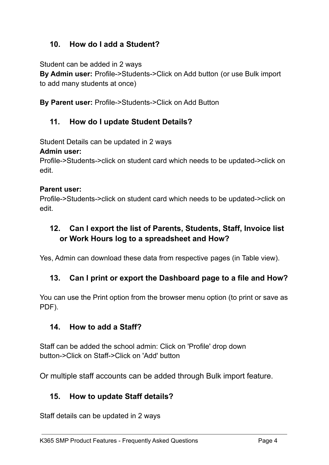# **10. How do I add a Student?**

Student can be added in 2 ways

**By Admin user:** Profile->Students->Click on Add button (or use Bulk import to add many students at once)

**By Parent user:** Profile->Students->Click on Add Button

#### **11. How do I update Student Details?**

Student Details can be updated in 2 ways

#### **Admin user:**

Profile->Students->click on student card which needs to be updated->click on edit.

#### **Parent user:**

Profile->Students->click on student card which needs to be updated->click on edit.

# **12. Can I export the list of Parents, Students, Staff, Invoice list or Work Hours log to a spreadsheet and How?**

Yes, Admin can download these data from respective pages (in Table view).

## **13. Can I print or export the Dashboard page to a file and How?**

You can use the Print option from the browser menu option (to print or save as PDF).

#### **14. How to add a Staff?**

Staff can be added the school admin: Click on 'Profile' drop down button->Click on Staff->Click on 'Add' button

Or multiple staff accounts can be added through Bulk import feature.

#### **15. How to update Staff details?**

Staff details can be updated in 2 ways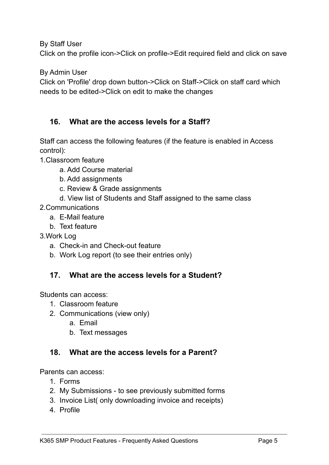By Staff User

Click on the profile icon->Click on profile->Edit required field and click on save

By Admin User

Click on 'Profile' drop down button->Click on Staff->Click on staff card which needs to be edited->Click on edit to make the changes

## **16. What are the access levels for a Staff?**

Staff can access the following features (if the feature is enabled in Access control):

- 1.Classroom feature
	- a. Add Course material
	- b. Add assignments
	- c. Review & Grade assignments
	- d. View list of Students and Staff assigned to the same class
- 2.Communications
	- a. E-Mail feature
	- b. Text feature
- 3.Work Log
	- a. Check-in and Check-out feature
	- b. Work Log report (to see their entries only)

#### **17. What are the access levels for a Student?**

Students can access:

- 1. Classroom feature
- 2. Communications (view only)
	- a. Email
	- b. Text messages

#### **18. What are the access levels for a Parent?**

Parents can access:

- 1. Forms
- 2. My Submissions to see previously submitted forms
- 3. Invoice List( only downloading invoice and receipts)
- 4. Profile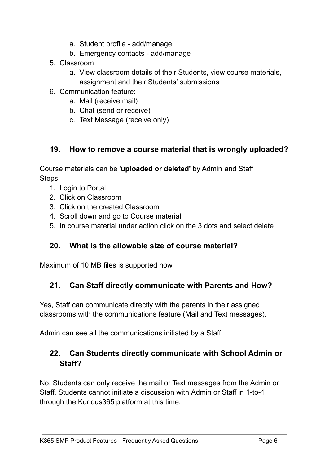- a. Student profile add/manage
- b. Emergency contacts add/manage
- 5. Classroom
	- a. View classroom details of their Students, view course materials, assignment and their Students' submissions
- 6. Communication feature:
	- a. Mail (receive mail)
	- b. Chat (send or receive)
	- c. Text Message (receive only)

#### **19. How to remove a course material that is wrongly uploaded?**

Course materials can be '**uploaded or deleted'** by Admin and Staff Steps:

- 1. Login to Portal
- 2. Click on Classroom
- 3. Click on the created Classroom
- 4. Scroll down and go to Course material
- 5. In course material under action click on the 3 dots and select delete

#### **20. What is the allowable size of course material?**

Maximum of 10 MB files is supported now.

## **21. Can Staff directly communicate with Parents and How?**

Yes, Staff can communicate directly with the parents in their assigned classrooms with the communications feature (Mail and Text messages).

Admin can see all the communications initiated by a Staff.

## **22. Can Students directly communicate with School Admin or Staff?**

No, Students can only receive the mail or Text messages from the Admin or Staff. Students cannot initiate a discussion with Admin or Staff in 1-to-1 through the Kurious365 platform at this time.